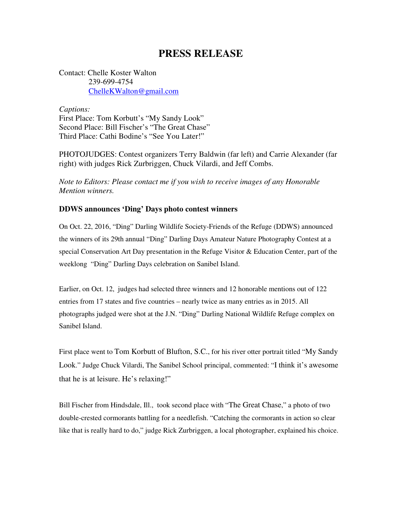## **PRESS RELEASE**

Contact: Chelle Koster Walton 239-699-4754 ChelleKWalton@gmail.com

*Captions:*  First Place: Tom Korbutt's "My Sandy Look" Second Place: Bill Fischer's "The Great Chase" Third Place: Cathi Bodine's "See You Later!"

PHOTOJUDGES: Contest organizers Terry Baldwin (far left) and Carrie Alexander (far right) with judges Rick Zurbriggen, Chuck Vilardi, and Jeff Combs.

*Note to Editors: Please contact me if you wish to receive images of any Honorable Mention winners.* 

## **DDWS announces 'Ding' Days photo contest winners**

On Oct. 22, 2016, "Ding" Darling Wildlife Society-Friends of the Refuge (DDWS) announced the winners of its 29th annual "Ding" Darling Days Amateur Nature Photography Contest at a special Conservation Art Day presentation in the Refuge Visitor & Education Center, part of the weeklong "Ding" Darling Days celebration on Sanibel Island.

Earlier, on Oct. 12, judges had selected three winners and 12 honorable mentions out of 122 entries from 17 states and five countries – nearly twice as many entries as in 2015. All photographs judged were shot at the J.N. "Ding" Darling National Wildlife Refuge complex on Sanibel Island.

First place went to Tom Korbutt of Blufton, S.C., for his river otter portrait titled "My Sandy Look." Judge Chuck Vilardi, The Sanibel School principal, commented: "I think it's awesome that he is at leisure. He's relaxing!"

Bill Fischer from Hindsdale, Ill., took second place with "The Great Chase," a photo of two double-crested cormorants battling for a needlefish. "Catching the cormorants in action so clear like that is really hard to do," judge Rick Zurbriggen, a local photographer, explained his choice.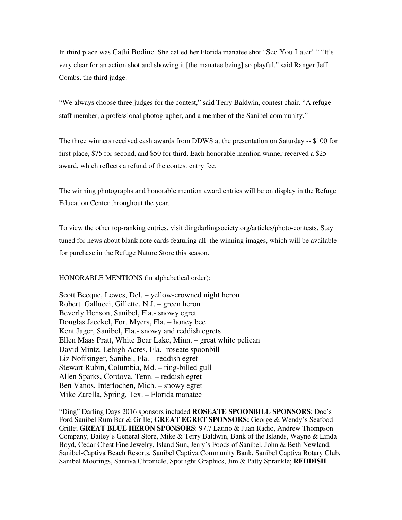In third place was Cathi Bodine. She called her Florida manatee shot "See You Later!." "It's very clear for an action shot and showing it [the manatee being] so playful," said Ranger Jeff Combs, the third judge.

"We always choose three judges for the contest," said Terry Baldwin, contest chair. "A refuge staff member, a professional photographer, and a member of the Sanibel community."

The three winners received cash awards from DDWS at the presentation on Saturday -- \$100 for first place, \$75 for second, and \$50 for third. Each honorable mention winner received a \$25 award, which reflects a refund of the contest entry fee.

The winning photographs and honorable mention award entries will be on display in the Refuge Education Center throughout the year.

To view the other top-ranking entries, visit dingdarlingsociety.org/articles/photo-contests. Stay tuned for news about blank note cards featuring all the winning images, which will be available for purchase in the Refuge Nature Store this season.

HONORABLE MENTIONS (in alphabetical order):

Scott Becque, Lewes, Del. – yellow-crowned night heron Robert Gallucci, Gillette, N.J. – green heron Beverly Henson, Sanibel, Fla.- snowy egret Douglas Jaeckel, Fort Myers, Fla. – honey bee Kent Jager, Sanibel, Fla.- snowy and reddish egrets Ellen Maas Pratt, White Bear Lake, Minn. – great white pelican David Mintz, Lehigh Acres, Fla.- roseate spoonbill Liz Noffsinger, Sanibel, Fla. – reddish egret Stewart Rubin, Columbia, Md. – ring-billed gull Allen Sparks, Cordova, Tenn. – reddish egret Ben Vanos, Interlochen, Mich. – snowy egret Mike Zarella, Spring, Tex. – Florida manatee

"Ding" Darling Days 2016 sponsors included **ROSEATE SPOONBILL SPONSORS**: Doc's Ford Sanibel Rum Bar & Grille; **GREAT EGRET SPONSORS:** George & Wendy's Seafood Grille; **GREAT BLUE HERON SPONSORS**: 97.7 Latino & Juan Radio, Andrew Thompson Company, Bailey's General Store, Mike & Terry Baldwin, Bank of the Islands, Wayne & Linda Boyd, Cedar Chest Fine Jewelry, Island Sun, Jerry's Foods of Sanibel, John & Beth Newland, Sanibel-Captiva Beach Resorts, Sanibel Captiva Community Bank, Sanibel Captiva Rotary Club, Sanibel Moorings, Santiva Chronicle, Spotlight Graphics, Jim & Patty Sprankle; **REDDISH**